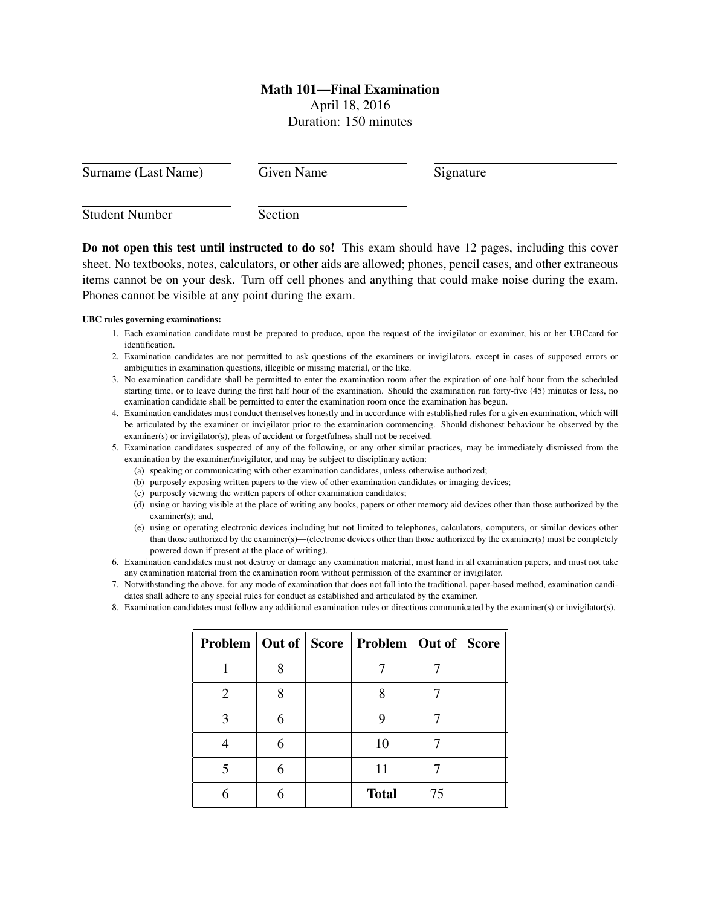# Math 101—Final Examination

April 18, 2016 Duration: 150 minutes

| Surname (Last Name)   | Given Name | Signature |  |
|-----------------------|------------|-----------|--|
| <b>Student Number</b> | Section    |           |  |

Do not open this test until instructed to do so! This exam should have 12 pages, including this cover sheet. No textbooks, notes, calculators, or other aids are allowed; phones, pencil cases, and other extraneous items cannot be on your desk. Turn off cell phones and anything that could make noise during the exam. Phones cannot be visible at any point during the exam.

## UBC rules governing examinations:

- 1. Each examination candidate must be prepared to produce, upon the request of the invigilator or examiner, his or her UBCcard for identification.
- 2. Examination candidates are not permitted to ask questions of the examiners or invigilators, except in cases of supposed errors or ambiguities in examination questions, illegible or missing material, or the like.
- 3. No examination candidate shall be permitted to enter the examination room after the expiration of one-half hour from the scheduled starting time, or to leave during the first half hour of the examination. Should the examination run forty-five (45) minutes or less, no examination candidate shall be permitted to enter the examination room once the examination has begun.
- 4. Examination candidates must conduct themselves honestly and in accordance with established rules for a given examination, which will be articulated by the examiner or invigilator prior to the examination commencing. Should dishonest behaviour be observed by the examiner(s) or invigilator(s), pleas of accident or forgetfulness shall not be received.
- 5. Examination candidates suspected of any of the following, or any other similar practices, may be immediately dismissed from the examination by the examiner/invigilator, and may be subject to disciplinary action:
	- (a) speaking or communicating with other examination candidates, unless otherwise authorized;
	- (b) purposely exposing written papers to the view of other examination candidates or imaging devices;
	- (c) purposely viewing the written papers of other examination candidates;
	- (d) using or having visible at the place of writing any books, papers or other memory aid devices other than those authorized by the examiner(s); and,
	- (e) using or operating electronic devices including but not limited to telephones, calculators, computers, or similar devices other than those authorized by the examiner(s)—(electronic devices other than those authorized by the examiner(s) must be completely powered down if present at the place of writing).
- 6. Examination candidates must not destroy or damage any examination material, must hand in all examination papers, and must not take any examination material from the examination room without permission of the examiner or invigilator.
- 7. Notwithstanding the above, for any mode of examination that does not fall into the traditional, paper-based method, examination candidates shall adhere to any special rules for conduct as established and articulated by the examiner.
- 8. Examination candidates must follow any additional examination rules or directions communicated by the examiner(s) or invigilator(s).

|                       |   | <b>Problem   Out of   Score    Problem   Out of   Score</b> |    |  |
|-----------------------|---|-------------------------------------------------------------|----|--|
|                       | Q |                                                             |    |  |
| $\mathcal{D}_{\cdot}$ | Ջ |                                                             |    |  |
|                       | 6 |                                                             |    |  |
|                       | 6 | 10                                                          |    |  |
|                       | 6 | 11                                                          |    |  |
|                       |   | <b>Total</b>                                                | 75 |  |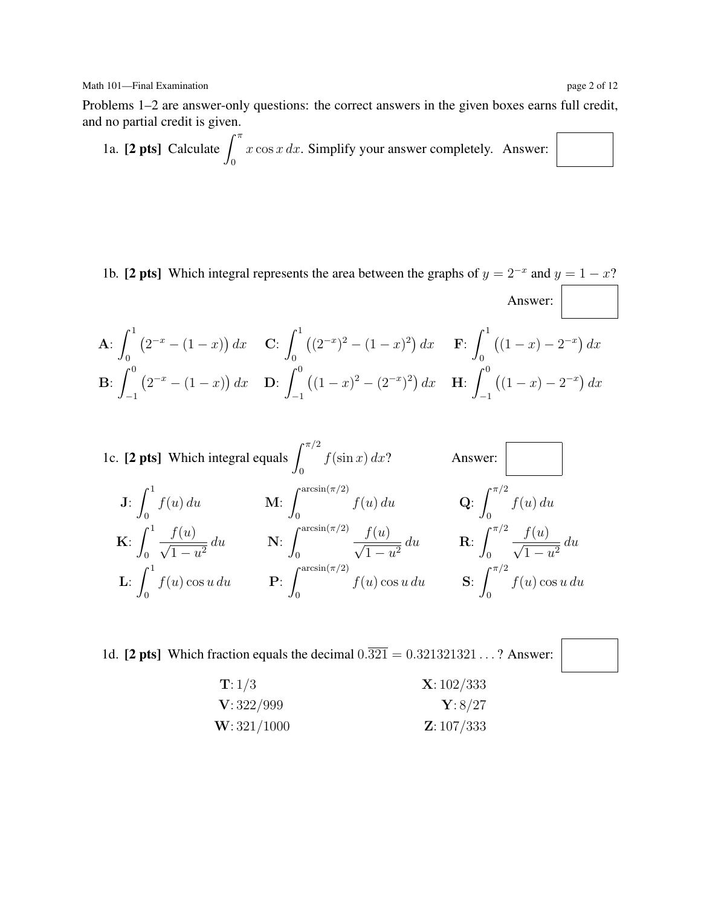Math 101—Final Examination page 2 of 12

Problems 1–2 are answer-only questions: the correct answers in the given boxes earns full credit, and no partial credit is given.

1a. **[2 pts]** Calculate 
$$
\int_0^{\pi} x \cos x \, dx
$$
. Simplify your answer completely. Answer:

1b. [2 pts] Which integral represents the area between the graphs of  $y = 2^{-x}$  and  $y = 1 - x$ ? Answer:  $\cdot$ 1  $\overline{a}$  1

$$
\mathbf{A:} \int_0^1 (2^{-x} - (1 - x)) dx \quad \mathbf{C:} \int_0^1 ((2^{-x})^2 - (1 - x)^2) dx \quad \mathbf{F:} \int_0^1 ((1 - x) - 2^{-x}) dx
$$
\n
$$
\mathbf{B:} \int_{-1}^0 (2^{-x} - (1 - x)) dx \quad \mathbf{D:} \int_{-1}^0 ((1 - x)^2 - (2^{-x})^2) dx \quad \mathbf{H:} \int_{-1}^0 ((1 - x) - 2^{-x}) dx
$$

1c. [2 pts] Which integral equals 
$$
\int_0^{\pi/2} f(\sin x) dx
$$
? Answer:   
\nJ:  $\int_0^1 f(u) du$    
\nK:  $\int_0^1 \frac{f(u)}{\sqrt{1-u^2}} du$    
\nN:  $\int_0^{\arcsin(\pi/2)} \frac{f(u)}{\sqrt{1-u^2}} du$    
\nR:  $\int_0^{\pi/2} \frac{f(u)}{\sqrt{1-u^2}} du$   
\nL:  $\int_0^1 f(u) \cos u du$    
\nP:  $\int_0^{\arcsin(\pi/2)} f(u) \cos u du$    
\nS:  $\int_0^{\pi/2} f(u) \cos u du$ 

1d. [2 pts] Which fraction equals the decimal  $0.\overline{321} = 0.321321321...$ ? Answer:

T: 1/3 X: 102/333 V: 322/999 Y: 8/27 W: 321/1000 Z: 107/333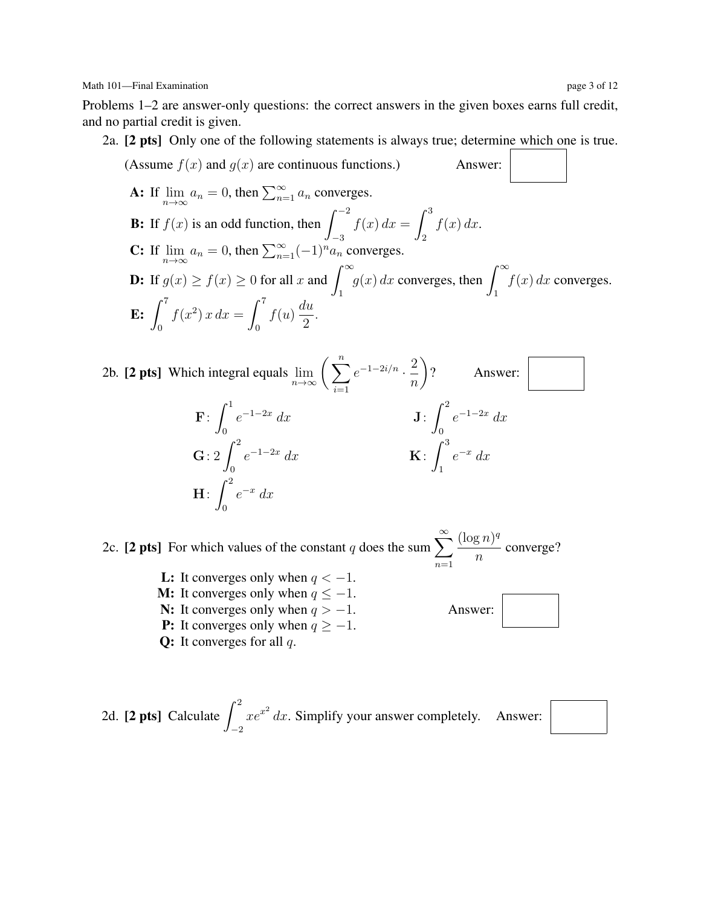Problems 1–2 are answer-only questions: the correct answers in the given boxes earns full credit, and no partial credit is given.

2a. [2 pts] Only one of the following statements is always true; determine which one is true.

(Assume 
$$
f(x)
$$
 and  $g(x)$  are continuous functions.) Answer:  
\n**A:** If  $\lim_{n \to \infty} a_n = 0$ , then  $\sum_{n=1}^{\infty} a_n$  converges.  
\n**B:** If  $f(x)$  is an odd function, then  $\int_{-3}^{-2} f(x) dx = \int_{2}^{3} f(x) dx$ .  
\n**C:** If  $\lim_{n \to \infty} a_n = 0$ , then  $\sum_{n=1}^{\infty} (-1)^n a_n$  converges.  
\n**D:** If  $g(x) \ge f(x) \ge 0$  for all  $x$  and  $\int_{1}^{\infty} g(x) dx$  converges, then  $\int_{1}^{\infty} f(x) dx$  converges.  
\n**E:**  $\int_{0}^{7} f(x^2) x dx = \int_{0}^{7} f(u) \frac{du}{2}$ .

2b. [2 pts] Which integral equals 
$$
\lim_{n \to \infty} \left( \sum_{i=1}^{n} e^{-1-2i/n} \cdot \frac{2}{n} \right)
$$
? Answer:  
\n
$$
\mathbf{F}: \int_{0}^{1} e^{-1-2x} dx \qquad \qquad \mathbf{J}: \int_{0}^{2} e^{-1-2x} dx
$$
\n
$$
\mathbf{G}: 2 \int_{0}^{2} e^{-1-2x} dx \qquad \qquad \mathbf{K}: \int_{1}^{3} e^{-x} dx
$$
\n
$$
\mathbf{H}: \int_{0}^{2} e^{-x} dx
$$

2c. [2 pts] For which values of the constant q does the sum  $\sum_{n=1}^{\infty}$  $n=1$  $(\log n)^q$  $\frac{5^{10}}{n}$  converge?

> **L:** It converges only when  $q < -1$ . **M:** It converges only when  $q \leq -1$ . N: It converges only when  $q > -1$ . **P:** It converges only when  $q \ge -1$ . **Q:** It converges for all  $q$ .

2d. **[2 pts]** Calculate 
$$
\int_{-2}^{2} xe^{x^2} dx
$$
. Simplify your answer completely. Answer:

Answer:

 $\mathcal{L}$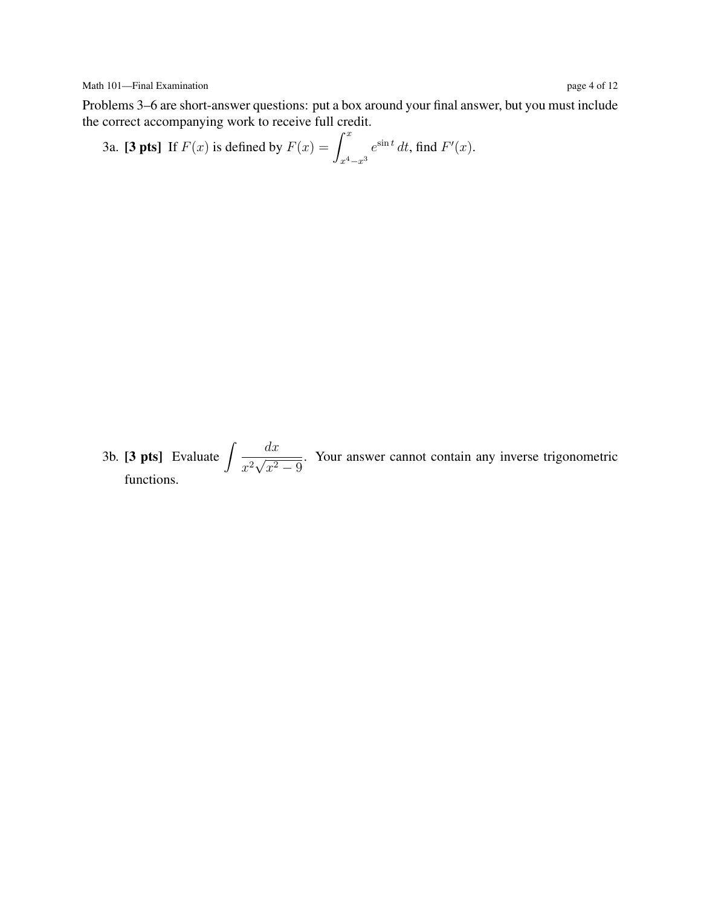Problems 3–6 are short-answer questions: put a box around your final answer, but you must include the correct accompanying work to receive full credit.

3a. [3 pts] If 
$$
F(x)
$$
 is defined by  $F(x) = \int_{x^4 - x^3}^{x} e^{\sin t} dt$ , find  $F'(x)$ .

3b. [3 pts] Evaluate  $\int \frac{dx}{2\sqrt{a^2}}$  $\frac{1}{x^2}\sqrt{ }$  $x^2-9$ . Your answer cannot contain any inverse trigonometric functions.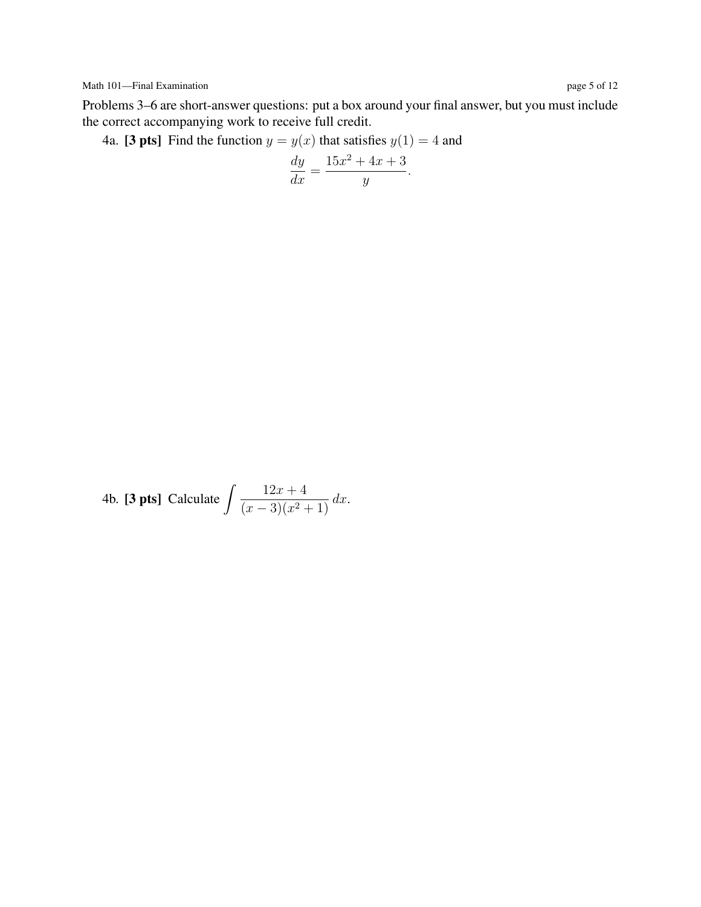Problems 3–6 are short-answer questions: put a box around your final answer, but you must include the correct accompanying work to receive full credit.

4a. [3 pts] Find the function  $y = y(x)$  that satisfies  $y(1) = 4$  and

$$
\frac{dy}{dx} = \frac{15x^2 + 4x + 3}{y}.
$$

4b. [3 pts] Calculate  $\int \frac{12x+4}{(x-2)(x-2)} dx$  $\frac{12x+1}{(x-3)(x^2+1)} dx.$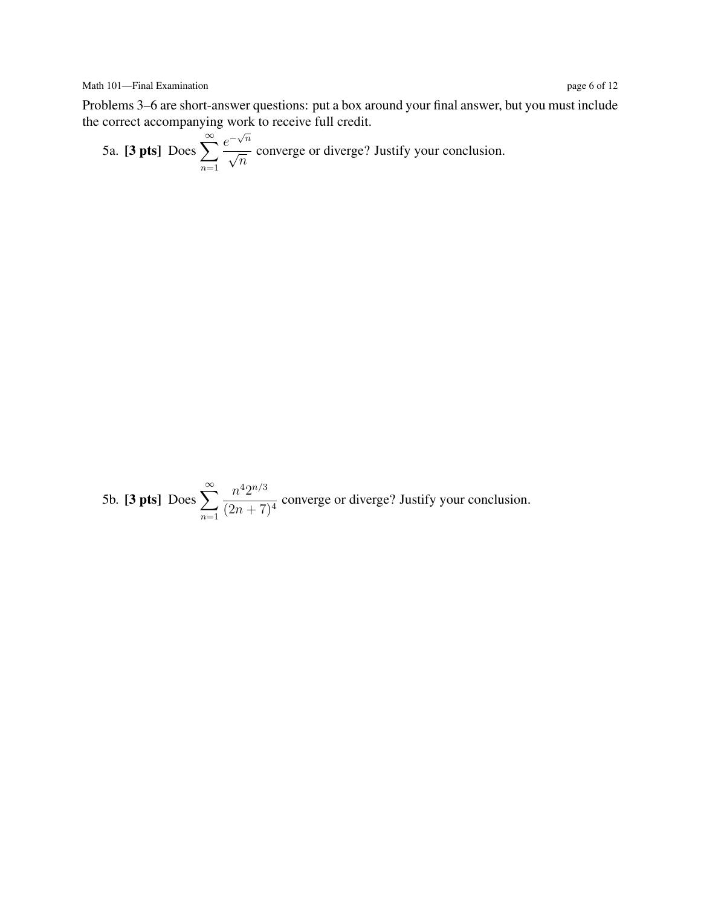Problems 3–6 are short-answer questions: put a box around your final answer, but you must include the correct accompanying work to receive full credit.

5a. [**3 pts**] Does  $\sum_{n=1}^{\infty}$  $n=1$  $e^{-\sqrt{n}}$ √  $\frac{1}{n}$  converge or diverge? Justify your conclusion.

5b. [3 pts] Does  $\sum_{n=1}^{\infty}$  $n=1$  $n^4 2^{n/3}$  $\frac{n^2}{(2n+7)^4}$  converge or diverge? Justify your conclusion.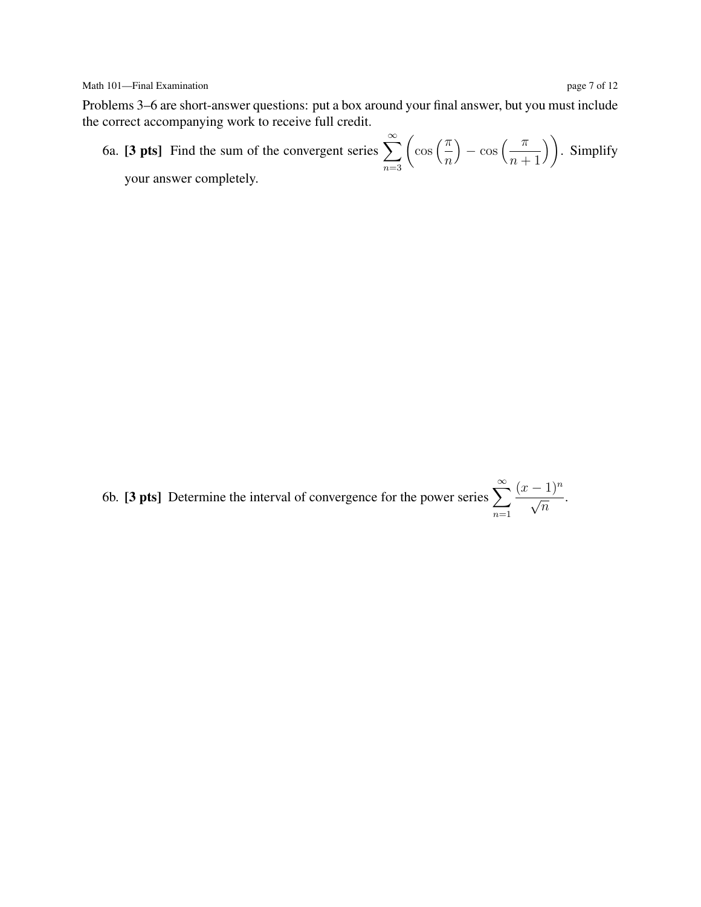## Math 101—Final Examination page 7 of 12

Problems 3–6 are short-answer questions: put a box around your final answer, but you must include the correct accompanying work to receive full credit.

6a. [3 pts] Find the sum of the convergent series  $\sum_{n=1}^{\infty}$  $n=3$  $\int$  cos  $\left(\frac{\pi}{2}\right)$  $\overline{n}$  $-\cos\left(\frac{\pi}{\pi}\right)$  $n+1$ ). Simplify your answer completely.

6b. [3 pts] Determine the interval of convergence for the power series  $\sum_{n=1}^{\infty}$  $n=1$  $\frac{(x-1)^n}{\sqrt{2}}$  $\frac{1}{\overline{n}}$ .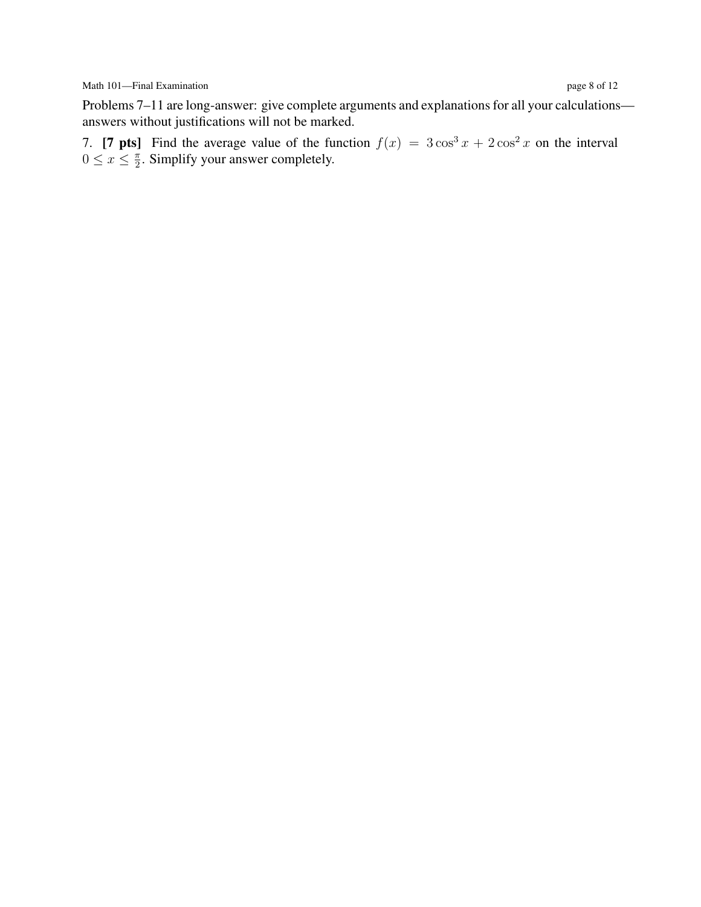Math 101—Final Examination page 8 of 12

Problems 7–11 are long-answer: give complete arguments and explanations for all your calculations answers without justifications will not be marked.

7. [7 pts] Find the average value of the function  $f(x) = 3\cos^3 x + 2\cos^2 x$  on the interval  $0 \leq x \leq \frac{\pi}{2}$  $\frac{\pi}{2}$ . Simplify your answer completely.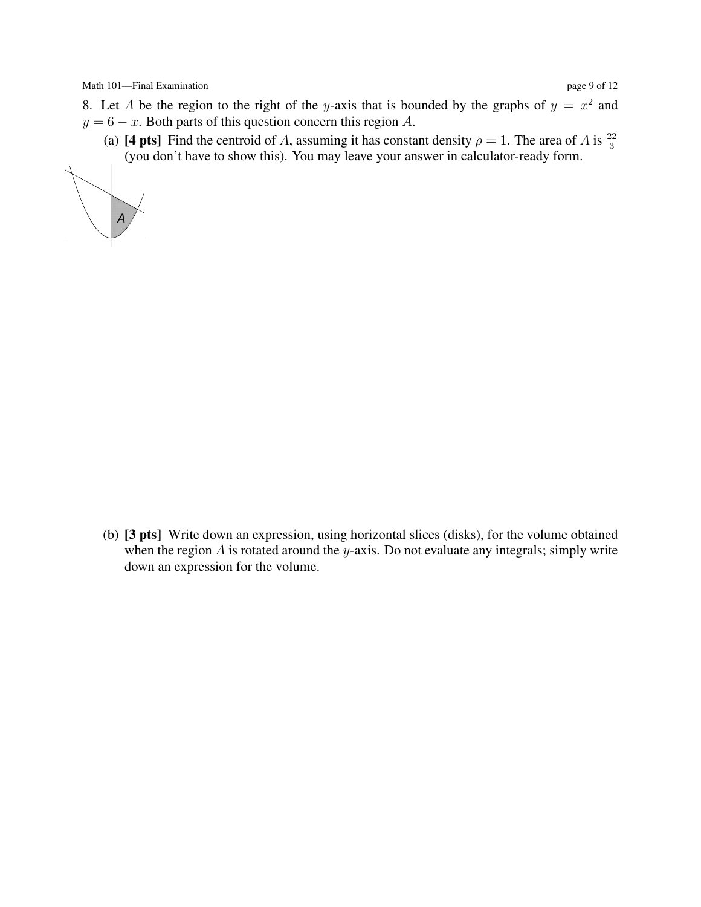Math 101—Final Examination page 9 of 12

- 8. Let A be the region to the right of the y-axis that is bounded by the graphs of  $y = x^2$  and  $y = 6 - x$ . Both parts of this question concern this region A.
	- (a) [4 pts] Find the centroid of A, assuming it has constant density  $\rho = 1$ . The area of A is  $\frac{22}{3}$  (you don't have to show this). You may leave your answer in calculator-ready form.



(b) [3 pts] Write down an expression, using horizontal slices (disks), for the volume obtained when the region  $A$  is rotated around the y-axis. Do not evaluate any integrals; simply write down an expression for the volume.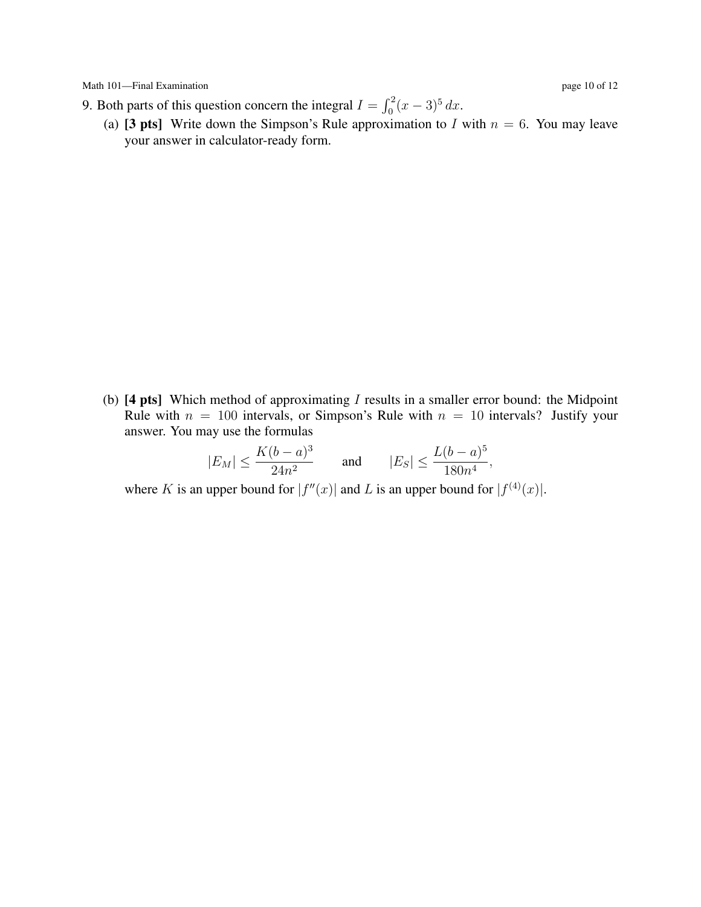Math 101—Final Examination page 10 of 12

(a) [3 pts] Write down the Simpson's Rule approximation to I with  $n = 6$ . You may leave your answer in calculator-ready form.

(b)  $[4 \text{ pts}]$  Which method of approximating I results in a smaller error bound: the Midpoint Rule with  $n = 100$  intervals, or Simpson's Rule with  $n = 10$  intervals? Justify your answer. You may use the formulas

$$
|E_M| \le \frac{K(b-a)^3}{24n^2}
$$
 and  $|E_S| \le \frac{L(b-a)^5}{180n^4}$ ,

where K is an upper bound for  $|f''(x)|$  and L is an upper bound for  $|f^{(4)}(x)|$ .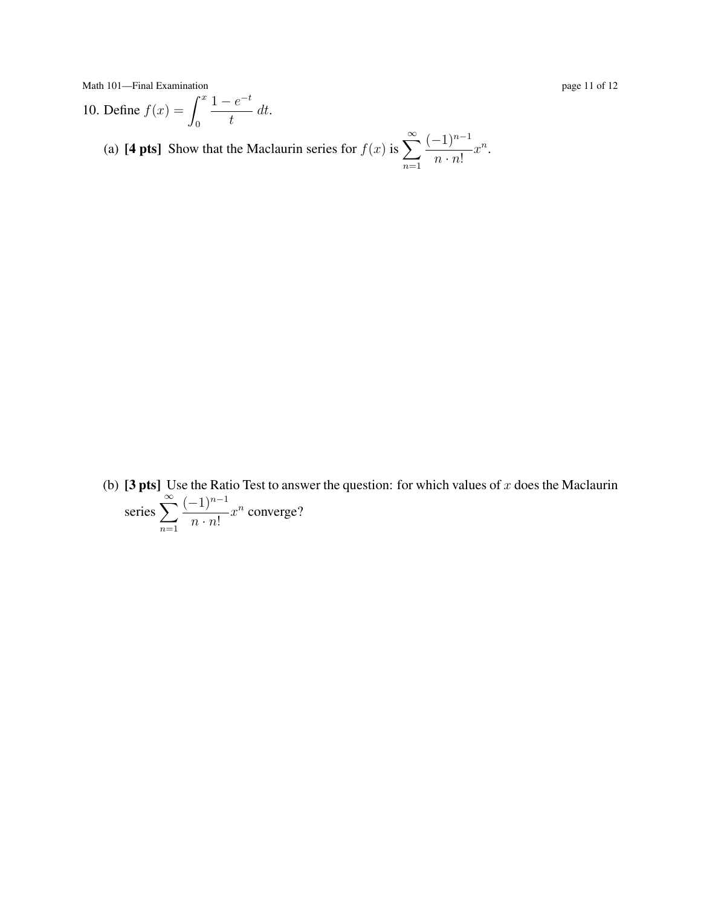Math 101—Final Examination page 11 of 12

10. Define  $f(x) = \int^x$ 0  $1 - e^{-t}$  $\frac{c}{t}$  dt.

(a) [4 pts] Show that the Maclaurin series for  $f(x)$  is  $\sum_{n=1}^{\infty}$  $n=1$  $(-1)^{n-1}$  $n \cdot n!$  $x^n$ .

(b) [3 pts] Use the Ratio Test to answer the question: for which values of x does the Maclaurin series  $\sum_{n=1}^{\infty}$  $n=1$  $(-1)^{n-1}$  $n \cdot n!$  $x^n$  converge?